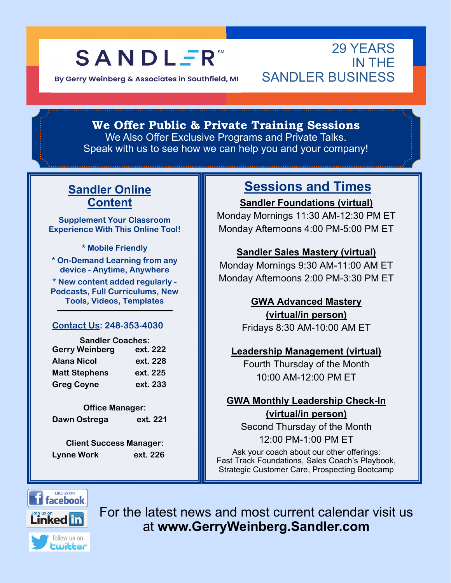## **SANDLER**

By Gerry Weinberg & Associates in Southfield, MI

#### 29 YEARS IN THE SANDI FR BUSINESS

**We Offer Public & Private Training Sessions** 

We Also Offer Exclusive Programs and Private Talks. Speak with us to see how we can help you and your company!

#### **Sandler Online Content**

**Supplement Your Classroom Experience With This Online Tool!** 

**\* Mobile Friendly** 

**\* On-Demand Learning from any device - Anytime, Anywhere** 

**\* New content added regularly - Podcasts, Full Curriculums, New Tools, Videos, Templates** 

#### **Contact Us: 248-353-4030**

| <b>Sandler Coaches:</b> |          |  |  |  |
|-------------------------|----------|--|--|--|
| <b>Gerry Weinberg</b>   | ext. 222 |  |  |  |
| <b>Alana Nicol</b>      | ext. 228 |  |  |  |
| <b>Matt Stephens</b>    | ext. 225 |  |  |  |
| <b>Greg Coyne</b>       | ext. 233 |  |  |  |

**Office Manager:**  Dawn Ostrega ext. 221

**Client Success Manager: Lynne Work ext. 226** 

### **Sessions and Times**

**Sandler Foundations (virtual)** 

Monday Mornings 11:30 AM-12:30 PM ET Monday Afternoons 4:00 PM-5:00 PM ET

#### **Sandler Sales Mastery (virtual)**

Monday Mornings 9:30 AM-11:00 AM ET Monday Afternoons 2:00 PM-3:30 PM ET

#### **GWA Advanced Mastery**

**(virtual/in person)**  Fridays 8:30 AM-10:00 AM ET

#### **Leadership Management (virtual)**

Fourth Thursday of the Month 10:00 AM-12:00 PM ET

#### **GWA Monthly Leadership Check-In (virtual/in person)**

Second Thursday of the Month 12:00 PM-1:00 PM ET

Ask your coach about our other offerings: Fast Track Foundations, Sales Coach's Playbook, Strategic Customer Care, Prospecting Bootcamp



For the latest news and most current calendar visit us at **www.GerryWeinberg.Sandler.com**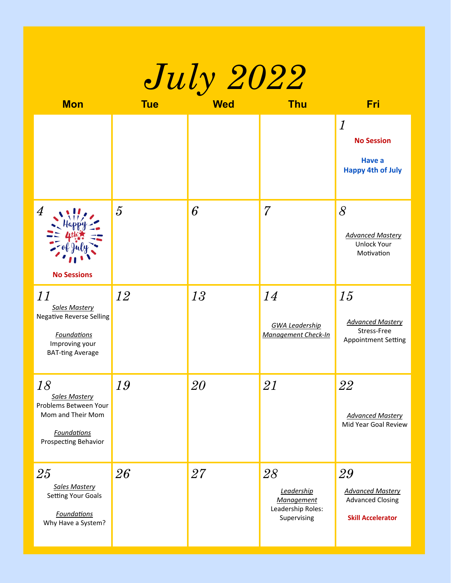| <i>July 2022</i>                                                                                                                 |                |            |                                                                           |                                                                                      |  |
|----------------------------------------------------------------------------------------------------------------------------------|----------------|------------|---------------------------------------------------------------------------|--------------------------------------------------------------------------------------|--|
| <b>Mon</b>                                                                                                                       | <b>Tue</b>     | <b>Wed</b> | <b>Thu</b>                                                                | <b>Fri</b>                                                                           |  |
|                                                                                                                                  |                |            |                                                                           | $\boldsymbol{l}$<br><b>No Session</b><br><b>Have a</b><br><b>Happy 4th of July</b>   |  |
| $\overline{4}$<br><b>No Sessions</b>                                                                                             | $\overline{5}$ | 6          | $\overline{7}$                                                            | 8<br><b>Advanced Mastery</b><br><b>Unlock Your</b><br>Motivation                     |  |
| 11<br><b>Sales Mastery</b><br><b>Negative Reverse Selling</b><br><b>Foundations</b><br>Improving your<br><b>BAT-ting Average</b> | 12             | 13         | 14<br><b>GWA Leadership</b><br><b>Management Check-In</b>                 | 15<br><b>Advanced Mastery</b><br>Stress-Free<br><b>Appointment Setting</b>           |  |
| 18<br><b>Sales Mastery</b><br>Problems Between Your<br>Mom and Their Mom<br><b>Foundations</b><br>Prospecting Behavior           | 19             | 20         | 21                                                                        | 22<br><b>Advanced Mastery</b><br>Mid Year Goal Review                                |  |
| 25<br><b>Sales Mastery</b><br><b>Setting Your Goals</b><br><b>Foundations</b><br>Why Have a System?                              | 26             | 27         | 28<br>Leadership<br><b>Management</b><br>Leadership Roles:<br>Supervising | 29<br><b>Advanced Mastery</b><br><b>Advanced Closing</b><br><b>Skill Accelerator</b> |  |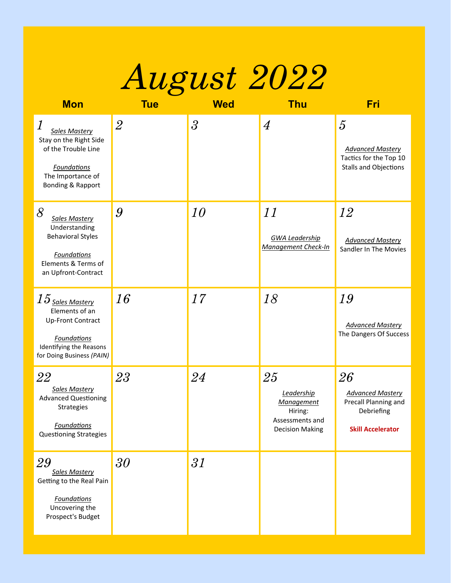

| <b>Mon</b>                                                                                                                                                | <b>Tue</b>     | <b>Wed</b>               | <b>Thu</b>                                                                                    | Fri                                                                                                 |
|-----------------------------------------------------------------------------------------------------------------------------------------------------------|----------------|--------------------------|-----------------------------------------------------------------------------------------------|-----------------------------------------------------------------------------------------------------|
| $\boldsymbol{l}$<br><b>Sales Mastery</b><br>Stay on the Right Side<br>of the Trouble Line<br><b>Foundations</b><br>The Importance of<br>Bonding & Rapport | $\overline{2}$ | $\overline{\mathcal{S}}$ | $\overline{4}$                                                                                | $\overline{5}$<br><b>Advanced Mastery</b><br>Tactics for the Top 10<br><b>Stalls and Objections</b> |
| $\delta$<br>Sales Mastery<br>Understanding<br><b>Behavioral Styles</b><br><b>Foundations</b><br>Elements & Terms of<br>an Upfront-Contract                | 9              | 10                       | 11<br><b>GWA Leadership</b><br><b>Management Check-In</b>                                     | 12<br><b>Advanced Mastery</b><br>Sandler In The Movies                                              |
| $15$ Sales Mastery<br>Elements of an<br>Up-Front Contract<br><b>Foundations</b><br>Identifying the Reasons<br>for Doing Business (PAIN)                   | 16             | 17                       | 18                                                                                            | 19<br><b>Advanced Mastery</b><br>The Dangers Of Success                                             |
| 22<br><b>Sales Mastery</b><br><b>Advanced Questioning</b><br>Strategies<br><b>Foundations</b><br><b>Questioning Strategies</b>                            | 23             | 24                       | 25<br>Leadership<br><b>Management</b><br>Hiring:<br>Assessments and<br><b>Decision Making</b> | 26<br><b>Advanced Mastery</b><br>Precall Planning and<br>Debriefing<br><b>Skill Accelerator</b>     |
| 29<br><b>Sales Mastery</b><br>Getting to the Real Pain<br><b>Foundations</b><br>Uncovering the<br>Prospect's Budget                                       | $30\,$         | 31                       |                                                                                               |                                                                                                     |